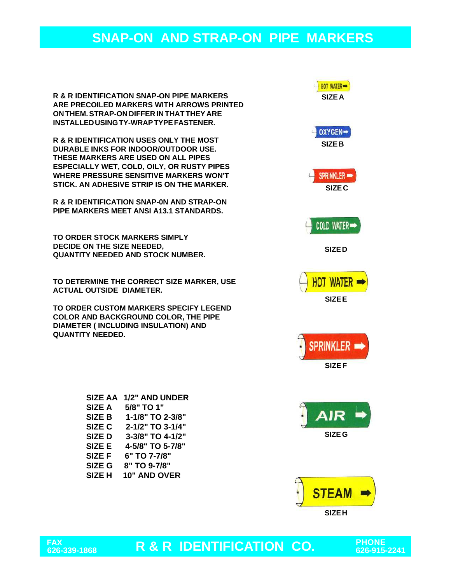**R & R IDENTIFICATION SNAP-ON PIPE MARKERS ARE PRECOILED MARKERS WITH ARROWS PRINTED ON THEM. STRAP-ON DIFFER IN THAT THEY ARE INSTALLED USING TY-WRAP TYPE FASTENER.**

**R & R IDENTIFICATION USES ONLY THE MOST DURABLE INKS FOR INDOOR/OUTDOOR USE. THESE MARKERS ARE USED ON ALL PIPES ESPECIALLY WET, COLD, OILY, OR RUSTY PIPES WHERE PRESSURE SENSITIVE MARKERS WON'T STICK. AN ADHESIVE STRIP IS ON THE MARKER.**

**R & R IDENTIFICATION SNAP-0N AND STRAP-ON PIPE MARKERS MEET ANSI A13.1 STANDARDS.**

**TO ORDER STOCK MARKERS SIMPLY DECIDE ON THE SIZE NEEDED, QUANTITY NEEDED AND STOCK NUMBER.**

**TO DETERMINE THE CORRECT SIZE MARKER, USE ACTUAL OUTSIDE DIAMETER.**

**TO ORDER CUSTOM MARKERS SPECIFY LEGEND COLOR AND BACKGROUND COLOR, THE PIPE DIAMETER ( INCLUDING INSULATION) AND QUANTITY NEEDED.**

| <b>SIZE AA</b>    | 1/2" AND UNDER   |
|-------------------|------------------|
| <b>SIZE A</b>     | 5/8" TO 1"       |
| <b>SIZE B</b>     | 1-1/8" TO 2-3/8" |
| SIZE <sub>C</sub> | 2-1/2" TO 3-1/4" |
| <b>SIZED</b>      | 3-3/8" TO 4-1/2" |
| SIZE E            | 4-5/8" TO 5-7/8" |
| <b>SIZE F</b>     | 6" TO 7-7/8"     |
| SIZE G            | 8" TO 9-7/8"     |
| SIZE <sub>H</sub> | 10" AND OVER     |
|                   |                  |



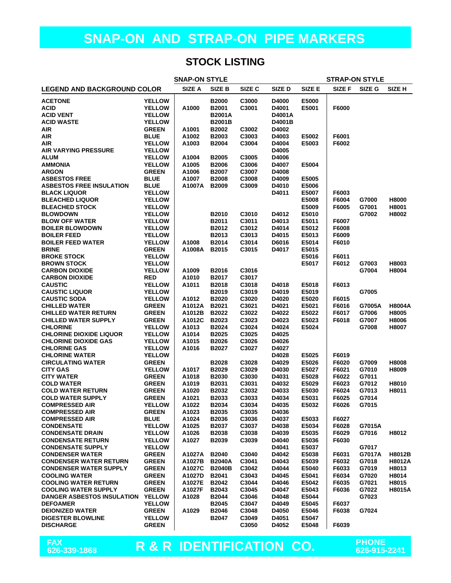#### **STOCK LISTING**

| <b>SNAP-ON STYLE</b>               |               |        |               |        |        |        | <b>STRAP-ON STYLE</b> |        |                   |
|------------------------------------|---------------|--------|---------------|--------|--------|--------|-----------------------|--------|-------------------|
| <b>LEGEND AND BACKGROUND COLOR</b> |               | SIZE A | SIZE B        | SIZE C | SIZE D | SIZE E | SIZE F                | SIZE G | SIZE <sub>H</sub> |
| <b>ACETONE</b>                     | <b>YELLOW</b> |        | <b>B2000</b>  | C3000  | D4000  | E5000  |                       |        |                   |
| <b>ACID</b>                        | <b>YELLOW</b> | A1000  | B2001         | C3001  | D4001  | E5001  | F6000                 |        |                   |
| <b>ACID VENT</b>                   | <b>YELLOW</b> |        | <b>B2001A</b> |        | D4001A |        |                       |        |                   |
| <b>ACID WASTE</b>                  | <b>YELLOW</b> |        | <b>B2001B</b> |        | D4001B |        |                       |        |                   |
| <b>AIR</b>                         | <b>GREEN</b>  | A1001  | B2002         | C3002  | D4002  |        |                       |        |                   |
| <b>AIR</b>                         | <b>BLUE</b>   | A1002  | B2003         | C3003  | D4003  | E5002  | F6001                 |        |                   |
| <b>AIR</b>                         | <b>YELLOW</b> | A1003  | <b>B2004</b>  | C3004  | D4004  | E5003  | F6002                 |        |                   |
| <b>AIR VARYING PRESSURE</b>        | <b>YELLOW</b> |        |               |        | D4005  |        |                       |        |                   |
| <b>ALUM</b>                        | <b>YELLOW</b> | A1004  | <b>B2005</b>  | C3005  | D4006  |        |                       |        |                   |
| <b>AMMONIA</b>                     | <b>YELLOW</b> | A1005  | <b>B2006</b>  | C3006  | D4007  | E5004  |                       |        |                   |
| <b>ARGON</b>                       | <b>GREEN</b>  | A1006  | <b>B2007</b>  | C3007  | D4008  |        |                       |        |                   |
| <b>ASBESTOS FREE</b>               | <b>BLUE</b>   | A1007  | <b>B2008</b>  | C3008  | D4009  | E5005  |                       |        |                   |
| <b>ASBESTOS FREE INSULATION</b>    | <b>BLUE</b>   | A1007A | <b>B2009</b>  | C3009  | D4010  | E5006  |                       |        |                   |
| <b>BLACK LIQUOR</b>                | <b>YELLOW</b> |        |               |        | D4011  | E5007  | F6003                 |        |                   |
| <b>BLEACHED LIQUOR</b>             | <b>YELLOW</b> |        |               |        |        | E5008  | F6004                 | G7000  | H8000             |
| <b>BLEACHED STOCK</b>              | <b>YELLOW</b> |        |               |        |        | E5009  | F6005                 | G7001  | H8001             |
| <b>BLOWDOWN</b>                    | <b>YELLOW</b> |        | B2010         | C3010  | D4012  | E5010  |                       | G7002  | H8002             |
| <b>BLOW OFF WATER</b>              | <b>YELLOW</b> |        | B2011         | C3011  | D4013  | E5011  | F6007                 |        |                   |
| <b>BOILER BLOWDOWN</b>             | <b>YELLOW</b> |        | B2012         | C3012  | D4014  | E5012  | F6008                 |        |                   |
| <b>BOILER FEED</b>                 | <b>YELLOW</b> |        | B2013         | C3013  | D4015  | E5013  | F6009                 |        |                   |
| <b>BOILER FEED WATER</b>           | <b>YELLOW</b> | A1008  | B2014         | C3014  | D6016  | E5014  | F6010                 |        |                   |
| <b>BRINE</b>                       | <b>GREEN</b>  | A1008A | <b>B2015</b>  | C3015  | D4017  | E5015  |                       |        |                   |
| <b>BROKE STOCK</b>                 | <b>YELLOW</b> |        |               |        |        | E5016  | F6011                 |        |                   |
| <b>BROWN STOCK</b>                 | <b>YELLOW</b> |        |               |        |        | E5017  | F6012                 | G7003  | H8003             |
| <b>CARBON DIOXIDE</b>              | <b>YELLOW</b> | A1009  | B2016         | C3016  |        |        |                       | G7004  | H8004             |
| <b>CARBON DIOXIDE</b>              | <b>RED</b>    | A1010  | B2017         | C3017  |        |        |                       |        |                   |
| <b>CAUSTIC</b>                     | <b>YELLOW</b> | A1011  | B2018         | C3018  | D4018  | E5018  | F6013                 |        |                   |
| <b>CAUSTIC LIQUOR</b>              | <b>YELLOW</b> |        | B2019         | C3019  | D4019  | E5019  |                       | G7005  |                   |
| <b>CAUSTIC SODA</b>                | <b>YELLOW</b> | A1012  | <b>B2020</b>  | C3020  | D4020  | E5020  | F6015                 |        |                   |
| <b>CHILLED WATER</b>               | <b>GREEN</b>  | A1012A | <b>B2021</b>  | C3021  | D4021  | E5021  | F6016                 | G7005A | <b>H8004A</b>     |
| <b>CHILLED WATER RETURN</b>        | <b>GREEN</b>  | A1012B | B2022         | C3022  | D4022  | E5022  | F6017                 | G7006  | H8005             |
| <b>CHILLED WATER SUPPLY</b>        | <b>GREEN</b>  | A1012C | B2023         | C3023  | D4023  | E5023  | F6018                 | G7007  | H8006             |
| <b>CHLORINE</b>                    | <b>YELLOW</b> | A1013  | B2024         | C3024  | D4024  | E5024  |                       | G7008  | H8007             |
| <b>CHLORINE DIOXIDE LIQUOR</b>     | <b>YELLOW</b> | A1014  | <b>B2025</b>  | C3025  | D4025  |        |                       |        |                   |
| <b>CHLORINE DIOXIDE GAS</b>        | <b>YELLOW</b> | A1015  | <b>B2026</b>  | C3026  | D4026  |        |                       |        |                   |
| <b>CHLORINE GAS</b>                | <b>YELLOW</b> | A1016  | <b>B2027</b>  | C3027  | D4027  |        |                       |        |                   |
| <b>CHLORINE WATER</b>              | <b>YELLOW</b> |        |               |        | D4028  | E5025  | F6019                 |        |                   |
| <b>CIRCULATING WATER</b>           | <b>GREEN</b>  |        | B2028         | C3028  | D4029  | E5026  | F6020                 | G7009  | H8008             |
| <b>CITY GAS</b>                    | <b>YELLOW</b> | A1017  | <b>B2029</b>  | C3029  | D4030  | E5027  | F6021                 | G7010  | H8009             |
| <b>CITY WATER</b>                  | <b>GREEN</b>  | A1018  | B2030         | C3030  | D4031  | E5028  | F6022                 | G7011  |                   |
| <b>COLD WATER</b>                  | <b>GREEN</b>  | A1019  | B2031         | C3031  | D4032  | E5029  | F6023                 | G7012  | H8010             |
| <b>COLD WATER RETURN</b>           | <b>GREEN</b>  | A1020  | B2032         | C3032  | D4033  | E5030  | F6024                 | G7013  | H8011             |
| <b>COLD WATER SUPPLY</b>           | <b>GREEN</b>  | A1021  | B2033         | C3033  | D4034  | E5031  | F6025                 | G7014  |                   |
| <b>COMPRESSED AIR</b>              | <b>YELLOW</b> | A1022  | B2034         | C3034  | D4035  | E5032  | F6026                 | G7015  |                   |
| <b>COMPRESSED AIR</b>              | <b>GREEN</b>  | A1023  | B2035         | C3035  | D4036  |        |                       |        |                   |
| <b>COMPRESSED AIR</b>              | <b>BLUE</b>   | A1024  | B2036         | C3036  | D4037  | E5033  | F6027                 |        |                   |
| <b>CONDENSATE</b>                  | <b>YELLOW</b> | A1025  | B2037         | C3037  | D4038  | E5034  | F6028                 | G7015A |                   |
| <b>CONDENSATE DRAIN</b>            | <b>YELLOW</b> | A1026  | B2038         | C3038  | D4039  | E5035  | F6029                 | G7016  | H8012             |
| <b>CONDENSATE RETURN</b>           | <b>YELLOW</b> | A1027  | B2039         | C3039  | D4040  | E5036  | F6030                 |        |                   |
| <b>CONDENSATE SUPPLY</b>           | <b>YELLOW</b> |        |               |        | D4041  | E5037  |                       | G7017  |                   |
| <b>CONDENSER WATER</b>             | <b>GREEN</b>  | A1027A | <b>B2040</b>  | C3040  | D4042  | E5038  | F6031                 | G7017A | H8012B            |
| <b>CONDENSER WATER RETURN</b>      | <b>GREEN</b>  | A1027B | <b>B2040A</b> | C3041  | D4043  | E5039  | F6032                 | G7018  | H8012A            |
| <b>CONDENSER WATER SUPPLY</b>      | <b>GREEN</b>  | A1027C | <b>B2040B</b> | C3042  | D4044  | E5040  | F6033                 | G7019  | H8013             |
| <b>COOLING WATER</b>               | <b>GREEN</b>  | A1027D | B2041         | C3043  | D4045  | E5041  | F6034                 | G7020  | H8014             |
| <b>COOLING WATER RETURN</b>        | <b>GREEN</b>  | A1027E | B2042         | C3044  | D4046  | E5042  | F6035                 | G7021  | H8015             |
| <b>COOLING WATER SUPPLY</b>        | <b>GREEN</b>  | A1027F | B2043         | C3045  | D4047  | E5043  | F6036                 | G7022  | H8015A            |
| DANGER ASBESTOS INSULATION         | <b>YELLOW</b> | A1028  | <b>B2044</b>  | C3046  | D4048  | E5044  |                       | G7023  |                   |
| <b>DEFOAMER</b>                    | <b>YELLOW</b> |        | <b>B2045</b>  | C3047  | D4049  | E5045  | F6037                 |        |                   |
| <b>DEIONIZED WATER</b>             | <b>GREEN</b>  | A1029  | <b>B2046</b>  | C3048  | D4050  | E5046  | F6038                 | G7024  |                   |
| <b>DIGESTER BLOWLINE</b>           | <b>YELLOW</b> |        | <b>B2047</b>  | C3049  | D4051  | E5047  |                       |        |                   |
| <b>DISCHARGE</b>                   | <b>GREEN</b>  |        |               | C3050  | D4052  | E5048  | F6039                 |        |                   |

**FAX**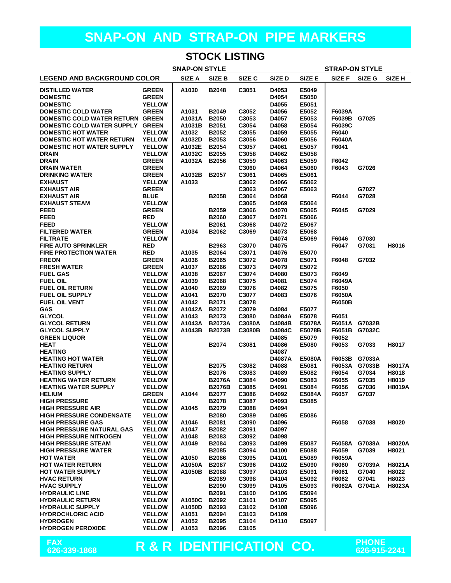#### **STOCK LISTING**

| <b>SNAP-ON STYLE</b><br><b>STRAP-ON STYLE</b>               |                                |                  |                              |                |                |                |                  |               |               |
|-------------------------------------------------------------|--------------------------------|------------------|------------------------------|----------------|----------------|----------------|------------------|---------------|---------------|
| <b>LEGEND AND BACKGROUND COLOR</b>                          |                                | SIZE A           | SIZE B                       | SIZE C         | SIZE D         | SIZE E         | SIZE F           | SIZE G        | SIZE H        |
| <b>DISTILLED WATER</b>                                      | <b>GREEN</b>                   | A1030            | <b>B2048</b>                 | C3051          | D4053          | E5049          |                  |               |               |
| <b>DOMESTIC</b>                                             | <b>GREEN</b>                   |                  |                              |                | D4054          | E5050          |                  |               |               |
| <b>DOMESTIC</b>                                             | <b>YELLOW</b>                  |                  |                              |                | D4055          | E5051          |                  |               |               |
| <b>DOMESTIC COLD WATER</b>                                  | <b>GREEN</b>                   | A1031            | <b>B2049</b>                 | C3052          | D4056          | E5052          | F6039A           |               |               |
| DOMESTIC COLD WATER RETURN GREEN                            |                                | A1031A           | <b>B2050</b>                 | C3053          | D4057          | E5053          | F6039B G7025     |               |               |
| DOMESTIC COLD WATER SUPPLY GREEN                            |                                | A1031B           | <b>B2051</b>                 | C3054          | D4058          | E5054          | F6039C           |               |               |
| <b>DOMESTIC HOT WATER</b>                                   | <b>YELLOW</b>                  | A1032            | <b>B2052</b>                 | C3055          | D4059          | E5055          | F6040            |               |               |
| <b>DOMESTIC HOT WATER RETURN</b>                            | <b>YELLOW</b>                  | A1032D           | B2053                        | C3056          | D4060          | E5056          | F6040A           |               |               |
| <b>DOMESTIC HOT WATER SUPPLY</b>                            | <b>YELLOW</b><br><b>YELLOW</b> | A1032E           | <b>B2054</b>                 | C3057          | D4061          | E5057          | F6041            |               |               |
| <b>DRAIN</b><br><b>DRAIN</b>                                | <b>GREEN</b>                   | A1032C<br>A1032A | <b>B2055</b><br><b>B2056</b> | C3058<br>C3059 | D4062<br>D4063 | E5058<br>E5059 | F6042            |               |               |
| <b>DRAIN WATER</b>                                          | <b>GREEN</b>                   |                  |                              | C3060          | D4064          | E5060          | F6043            | G7026         |               |
| <b>DRINKING WATER</b>                                       | <b>GREEN</b>                   | A1032B           | <b>B2057</b>                 | C3061          | D4065          | E5061          |                  |               |               |
| <b>EXHAUST</b>                                              | <b>YELLOW</b>                  | A1033            |                              | C3062          | D4066          | E5062          |                  |               |               |
| <b>EXHAUST AIR</b>                                          | <b>GREEN</b>                   |                  |                              | C3063          | D4067          | E5063          |                  | G7027         |               |
| <b>EXHAUST AIR</b>                                          | <b>BLUE</b>                    |                  | <b>B2058</b>                 | C3064          | D4068          |                | F6044            | G7028         |               |
| <b>EXHAUST STEAM</b>                                        | <b>YELLOW</b>                  |                  |                              | C3065          | D4069          | E5064          |                  |               |               |
| <b>FEED</b>                                                 | <b>GREEN</b>                   |                  | <b>B2059</b>                 | C3066          | D4070          | E5065          | F6045            | G7029         |               |
| <b>FEED</b>                                                 | <b>RED</b>                     |                  | <b>B2060</b>                 | C3067          | D4071          | E5066          |                  |               |               |
| <b>FEED</b>                                                 | <b>YELLOW</b>                  |                  | B2061                        | C3068          | D4072          | E5067          |                  |               |               |
| <b>FILTERED WATER</b>                                       | <b>GREEN</b>                   | A1034            | B2062                        | C3069          | D4073          | E5068          |                  |               |               |
| <b>FILTRATE</b>                                             | <b>YELLOW</b>                  |                  |                              |                | D4074          | E5069          | F6046            | G7030         |               |
| <b>FIRE AUTO SPRINKLER</b>                                  | <b>RED</b>                     |                  | B2963                        | C3070          | D4075          |                | F6047            | G7031         | H8016         |
| <b>FIRE PROTECTION WATER</b>                                | <b>RED</b>                     | A1035            | B2064                        | C3071          | D4076          | E5070          |                  |               |               |
| <b>FREON</b>                                                | <b>GREEN</b>                   | A1036            | B2065                        | C3072          | D4078          | E5071          | F6048            | G7032         |               |
| <b>FRESH WATER</b>                                          | <b>GREEN</b>                   | A1037            | <b>B2066</b>                 | C3073          | D4079          | E5072          |                  |               |               |
| <b>FUEL GAS</b>                                             | <b>YELLOW</b>                  | A1038            | <b>B2067</b>                 | C3074          | D4080          | E5073          | F6049            |               |               |
| <b>FUEL OIL</b>                                             | <b>YELLOW</b>                  | A1039            | <b>B2068</b>                 | C3075          | D4081          | E5074          | F6049A           |               |               |
| <b>FUEL OIL RETURN</b>                                      | <b>YELLOW</b><br><b>YELLOW</b> | A1040            | B2069                        | C3076          | D4082          | E5075          | F6050            |               |               |
| <b>FUEL OIL SUPPLY</b><br><b>FUEL OIL VENT</b>              | <b>YELLOW</b>                  | A1041<br>A1042   | <b>B2070</b><br>B2071        | C3077<br>C3078 | D4083          | E5076          | F6050A<br>F6050B |               |               |
| <b>GAS</b>                                                  | <b>YELLOW</b>                  | A1042A           | B2072                        | C3079          | D4084          | E5077          |                  |               |               |
| <b>GLYCOL</b>                                               | <b>YELLOW</b>                  | A1043            | B2073                        | C3080          | D4084A         | E5078          | F6051            |               |               |
| <b>GLYCOL RETURN</b>                                        | <b>YELLOW</b>                  | A1043A           | <b>B2073A</b>                | C3080A         | D4084B         | E5078A         |                  | F6051A G7032B |               |
| <b>GLYCOL SUPPLY</b>                                        | <b>YELLOW</b>                  | A1043B           | <b>B2073B</b>                | C3080B         | <b>D4084C</b>  | E5078B         | F6051B           | G7032C        |               |
| <b>GREEN LIQUOR</b>                                         | <b>YELLOW</b>                  |                  |                              |                | D4085          | E5079          | F6052            |               |               |
| <b>HEAT</b>                                                 | <b>YELLOW</b>                  |                  | B2074                        | C3081          | D4086          | E5080          | F6053            | G7033         | H8017         |
| <b>HEATING</b>                                              | <b>YELLOW</b>                  |                  |                              |                | D4087          |                |                  |               |               |
| <b>HEATING HOT WATER</b>                                    | <b>YELLOW</b>                  |                  |                              |                | D4087A         | E5080A         | F6053B           | G7033A        |               |
| <b>HEATING RETURN</b>                                       | <b>YELLOW</b>                  |                  | <b>B2075</b>                 | C3082          | D4088          | E5081          | F6053A           | G7033B        | <b>H8017A</b> |
| <b>HEATING SUPPLY</b>                                       | <b>YELLOW</b>                  |                  | <b>B2076</b>                 | C3083          | D4089          | E5082          | F6054            | G7034         | H8018         |
| <b>HEATING WATER RETURN</b>                                 | <b>YELLOW</b>                  |                  | <b>B2076A</b>                | C3084          | D4090          | E5083          | F6055            | G7035         | H8019         |
| <b>HEATING WATER SUPPLY</b>                                 | <b>YELLOW</b>                  |                  | <b>B2076B</b>                | C3085          | D4091          | E5084          | F6056            | G7036         | <b>H8019A</b> |
| <b>HELIUM</b>                                               | <b>GREEN</b>                   | A1044            | B2077                        | C3086          | D4092          | E5084A         | F6057            | G7037         |               |
| <b>HIGH PRESSURE</b>                                        | <b>YELLOW</b>                  |                  | <b>B2078</b>                 | C3087          | D4093          | E5085          |                  |               |               |
| <b>HIGH PRESSURE AIR</b><br><b>HIGH PRESSURE CONDENSATE</b> | <b>YELLOW</b>                  | A1045            | B2079                        | C3088          | D4094          |                |                  |               |               |
| <b>HIGH PRESSURE GAS</b>                                    | <b>YELLOW</b><br><b>YELLOW</b> | A1046            | <b>B2080</b><br>B2081        | C3089<br>C3090 | D4095<br>D4096 | E5086          | F6058            | G7038         | H8020         |
| <b>HIGH PRESSURE NATURAL GAS</b>                            | <b>YELLOW</b>                  | A1047            | B2082                        | C3091          | D4097          |                |                  |               |               |
| <b>HIGH PRESSURE NITROGEN</b>                               | <b>YELLOW</b>                  | A1048            | B2083                        | C3092          | D4098          |                |                  |               |               |
| <b>HIGH PRESSURE STEAM</b>                                  | <b>YELLOW</b>                  | A1049            | B2084                        | C3093          | D4099          | E5087          |                  | F6058A G7038A | <b>H8020A</b> |
| <b>HIGH PRESSURE WATER</b>                                  | <b>YELLOW</b>                  |                  | <b>B2085</b>                 | C3094          | D4100          | E5088          | F6059            | G7039         | H8021         |
| <b>HOT WATER</b>                                            | <b>YELLOW</b>                  | A1050            | <b>B2086</b>                 | C3095          | D4101          | E5089          | F6059A           |               |               |
| <b>HOT WATER RETURN</b>                                     | <b>YELLOW</b>                  | A1050A           | <b>B2087</b>                 | C3096          | D4102          | E5090          | F6060            | G7039A        | H8021A        |
| <b>HOT WATER SUPPLY</b>                                     | <b>YELLOW</b>                  | A1050B           | <b>B2088</b>                 | C3097          | D4103          | E5091          | F6061            | G7040         | H8022         |
| <b>HVAC RETURN</b>                                          | <b>YELLOW</b>                  |                  | B2089                        | C3098          | D4104          | E5092          | F6062            | G7041         | H8023         |
| <b>HVAC SUPPLY</b>                                          | <b>YELLOW</b>                  |                  | B2090                        | C3099          | D4105          | E5093          | F6062A           | G7041A        | H8023A        |
| <b>HYDRAULIC LINE</b>                                       | <b>YELLOW</b>                  |                  | B2091                        | C3100          | D4106          | E5094          |                  |               |               |
| <b>HYDRAULIC RETURN</b>                                     | <b>YELLOW</b>                  | A1050C           | B2092                        | C3101          | D4107          | E5095          |                  |               |               |
| <b>HYDRAULIC SUPPLY</b>                                     | <b>YELLOW</b>                  | A1050D           | B2093                        | C3102          | D4108          | E5096          |                  |               |               |
| <b>HYDROCHLORIC ACID</b>                                    | <b>YELLOW</b>                  | A1051            | B2094                        | C3103          | D4109          |                |                  |               |               |
| <b>HYDROGEN</b>                                             | <b>YELLOW</b>                  | A1052            | B2095                        | C3104          | D4110          | E5097          |                  |               |               |
| <b>HYDROGEN PEROXIDE</b>                                    | <b>YELLOW</b>                  | A1053            | <b>B2096</b>                 | C3105          |                |                |                  |               |               |
|                                                             |                                |                  |                              |                |                |                |                  |               |               |

**FAX**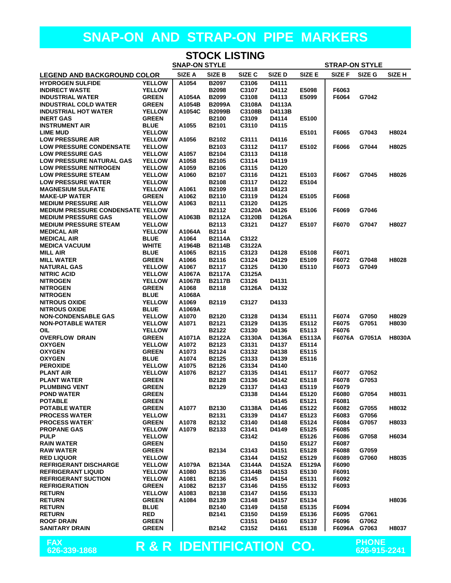| <b>STOCK LISTING</b>                                                                   |                                |                  |                               |                  |                 |                       |                |        |                   |
|----------------------------------------------------------------------------------------|--------------------------------|------------------|-------------------------------|------------------|-----------------|-----------------------|----------------|--------|-------------------|
| <b>SNAP-ON STYLE</b>                                                                   |                                |                  |                               |                  |                 | <b>STRAP-ON STYLE</b> |                |        |                   |
| <b>LEGEND AND BACKGROUND COLOR</b>                                                     |                                | SIZE A           | SIZE B                        | SIZE C           | <b>SIZED</b>    | <b>SIZE E</b>         | SIZE F         | SIZE G | SIZE <sub>H</sub> |
| <b>HYDROGEN SULFIDE</b>                                                                | <b>YELLOW</b>                  | A1054            | B2097                         | C3106            | D4111           |                       |                |        |                   |
| <b>INDIRECT WASTE</b>                                                                  | <b>YELLOW</b>                  |                  | <b>B2098</b>                  | C3107            | D4112           | E5098                 | F6063          |        |                   |
| <b>INDUSTRIAL WATER</b><br><b>INDUSTRIAL COLD WATER</b>                                | <b>GREEN</b><br><b>GREEN</b>   | A1054A<br>A1054B | <b>B2099</b><br><b>B2099A</b> | C3108<br>C3108A  | D4113<br>D4113A | E5099                 | F6064          | G7042  |                   |
| <b>INDUSTRIAL HOT WATER</b>                                                            | <b>YELLOW</b>                  | A1054C           | <b>B2099B</b>                 | C3108B           | D4113B          |                       |                |        |                   |
| <b>INERT GAS</b>                                                                       | <b>GREEN</b>                   |                  | B2100                         | C3109            | D4114           | E5100                 |                |        |                   |
| <b>INSTRUMENT AIR</b>                                                                  | <b>BLUE</b>                    | A1055            | B2101                         | C3110            | D4115           |                       |                |        |                   |
| <b>LIME MUD</b>                                                                        | <b>YELLOW</b>                  |                  |                               |                  |                 | E5101                 | F6065          | G7043  | H8024             |
| <b>LOW PRESSURE AIR</b>                                                                | <b>YELLOW</b>                  | A1056            | B2102                         | C3111            | D4116           |                       |                |        |                   |
| <b>LOW PRESSURE CONDENSATE</b><br><b>LOW PRESSURE GAS</b>                              | <b>YELLOW</b><br><b>YELLOW</b> |                  | B2103                         | C3112<br>C3113   | D4117           | E5102                 | F6066          | G7044  | H8025             |
| <b>LOW PRESSURE NATURAL GAS</b>                                                        | <b>YELLOW</b>                  | A1057<br>A1058   | B2104<br><b>B2105</b>         | C3114            | D4118<br>D4119  |                       |                |        |                   |
| <b>LOW PRESSURE NITROGEN</b>                                                           | <b>YELLOW</b>                  | A1059            | <b>B2106</b>                  | C3115            | D4120           |                       |                |        |                   |
| <b>LOW PRESSURE STEAM</b>                                                              | <b>YELLOW</b>                  | A1060            | B2107                         | C3116            | D4121           | E5103                 | F6067          | G7045  | H8026             |
| <b>LOW PRESSURE WATER</b>                                                              | <b>YELLOW</b>                  |                  | B2108                         | C3117            | D4122           | E5104                 |                |        |                   |
| <b>MAGNESIUM SULFATE</b>                                                               | <b>YELLOW</b>                  | A1061            | B2109                         | C3118            | D4123           |                       |                |        |                   |
| <b>MAKE-UP WATER</b>                                                                   | <b>GREEN</b>                   | A1062            | <b>B2110</b>                  | C3119            | D4124           | E5105                 | F6068          |        |                   |
| <b>MEDIUM PRESSURE AIR</b>                                                             | <b>YELLOW</b>                  | A1063            | B2111                         | C3120            | D4125           |                       |                |        |                   |
| <b>MEDIUM PRESSURE CONDENSATE YELLOW</b><br><b>MEDIUM PRESSURE GAS</b>                 | <b>YELLOW</b>                  | A1063B           | B2112<br><b>B2112A</b>        | C3120A<br>C3120B | D4126<br>D4126A | E5106                 | F6069          | G7046  |                   |
| <b>MEDIUM PRESSURE STEAM</b>                                                           | <b>YELLOW</b>                  |                  | B2113                         | C3121            | D4127           | E5107                 | F6070          | G7047  | H8027             |
| <b>MEDICAL AIR</b>                                                                     | <b>YELLOW</b>                  | A1064A           | B2114                         |                  |                 |                       |                |        |                   |
| <b>MEDICAL AIR</b>                                                                     | <b>BLUE</b>                    | A1064            | <b>B2114A</b>                 | C3122            |                 |                       |                |        |                   |
| <b>MEDICA VACUUM</b>                                                                   | <b>WHITE</b>                   | A1964B           | <b>B2114B</b>                 | C3122A           |                 |                       |                |        |                   |
| <b>MILL AIR</b>                                                                        | <b>BLUE</b>                    | A1065            | B2115                         | C3123            | D4128           | E5108                 | F6071          |        |                   |
| <b>MILL WATER</b>                                                                      | <b>GREEN</b>                   | A1066            | B2116                         | C3124            | D4129           | E5109                 | F6072          | G7048  | H8028             |
| <b>NATURAL GAS</b><br><b>NITRIC ACID</b>                                               | <b>YELLOW</b><br><b>YELLOW</b> | A1067<br>A1067A  | <b>B2117</b><br><b>B2117A</b> | C3125<br>C3125A  | D4130           | E5110                 | F6073          | G7049  |                   |
| <b>NITROGEN</b>                                                                        | <b>YELLOW</b>                  | A1067B           | <b>B2117B</b>                 | C3126            | D4131           |                       |                |        |                   |
| <b>NITROGEN</b>                                                                        | <b>GREEN</b>                   | A1068            | B2118                         | C3126A           | D4132           |                       |                |        |                   |
| <b>NITROGEN</b>                                                                        | <b>BLUE</b>                    | A1068A           |                               |                  |                 |                       |                |        |                   |
| <b>NITROUS OXIDE</b>                                                                   | <b>YELLOW</b>                  | A1069            | B2119                         | C3127            | D4133           |                       |                |        |                   |
| <b>NITROUS OXIDE</b>                                                                   | <b>BLUE</b>                    | A1069A           |                               |                  |                 |                       |                |        |                   |
| <b>NON-CONDENSABLE GAS</b>                                                             | <b>YELLOW</b>                  | A1070            | B2120                         | C3128            | D4134           | E5111                 | F6074          | G7050  | H8029             |
| <b>NON-POTABLE WATER</b><br>OIL                                                        | <b>YELLOW</b><br><b>YELLOW</b> | A1071            | B2121<br>B2122                | C3129<br>C3130   | D4135<br>D4136  | E5112<br>E5113        | F6075<br>F6076 | G7051  | H8030             |
| <b>OVERFLOW DRAIN</b>                                                                  | <b>GREEN</b>                   | A1071A           | <b>B2122A</b>                 | C3130A           | D4136A          | E5113A                | F6076A         | G7051A | <b>H8030A</b>     |
| <b>OXYGEN</b>                                                                          | <b>YELLOW</b>                  | A1072            | B2123                         | C3131            | D4137           | E5114                 |                |        |                   |
| <b>OXYGEN</b>                                                                          | <b>GREEN</b>                   | A1073            | B2124                         | C3132            | D4138           | E5115                 |                |        |                   |
| <b>OXYGEN</b>                                                                          | <b>BLUE</b>                    | A1074            | B2125                         | C3133            | D4139           | E5116                 |                |        |                   |
| <b>PEROXIDE</b>                                                                        | <b>YELLOW</b>                  | A1075            | <b>B2126</b>                  | C3134            | D4140           |                       |                |        |                   |
| <b>PLANT AIR</b>                                                                       | <b>YELLOW</b>                  | A1076            | B2127                         | C3135            | D4141           | E5117                 | F6077          | G7052  |                   |
| <b>PLANT WATER</b><br><b>PLUMBING VENT</b>                                             | <b>GREEN</b><br><b>GREEN</b>   |                  | <b>B2128</b><br>B2129         | C3136<br>C3137   | D4142<br>D4143  | E5118<br>E5119        | F6078<br>F6079 | G7053  |                   |
| <b>POND WATER</b>                                                                      | <b>GREEN</b>                   |                  |                               | C3138            | D4144           | E5120                 | F6080          | G7054  | H8031             |
| <b>POTABLE</b>                                                                         | <b>GREEN</b>                   |                  |                               |                  | D4145           | E5121                 | F6081          |        |                   |
| <b>POTABLE WATER</b>                                                                   | <b>GREEN</b>                   | A1077            | B2130                         | C3138A           | D4146           | E5122                 | F6082          | G7055  | H8032             |
| <b>PROCESS WATER</b>                                                                   | <b>YELLOW</b>                  |                  | B2131                         | C3139            | D4147           | E5123                 | F6083          | G7056  |                   |
| <b>PROCESS WATER</b>                                                                   | <b>GREEN</b>                   | A1078            | B2132                         | C3140            | D4148           | E5124                 | F6084          | G7057  | H8033             |
| <b>PROPANE GAS</b>                                                                     | <b>YELLOW</b>                  | A1079            | B2133                         | C3141<br>C3142   | D4149           | E5125<br>E5126        | F6085          |        |                   |
| <b>PULP</b><br><b>RAIN WATER</b>                                                       | <b>YELLOW</b><br><b>GREEN</b>  |                  |                               |                  | D4150           | E5127                 | F6086<br>F6087 | G7058  | H6034             |
| <b>RAW WATER</b>                                                                       | <b>GREEN</b>                   |                  | B2134                         | C3143            | D4151           | E5128                 | F6088          | G7059  |                   |
| <b>RED LIQUOR</b>                                                                      | <b>YELLOW</b>                  |                  |                               | C3144            | D4152           | E5129                 | F6089          | G7060  | H8035             |
| <b>REFRIGERANT DISCHARGE</b>                                                           | <b>YELLOW</b>                  | A1079A           | <b>B2134A</b>                 | C3144A           | D4152A          | E5129A                | F6090          |        |                   |
| <b>REFRIGERANT LIQUID</b>                                                              | <b>YELLOW</b>                  | A1080            | B2135                         | C3144B           | D4153           | E5130                 | F6091          |        |                   |
| <b>REFRIGERANT SUCTION</b>                                                             | <b>YELLOW</b>                  | A1081            | B2136                         | C3145            | D4154           | E5131                 | F6092          |        |                   |
| <b>REFRIGERATION</b><br><b>RETURN</b>                                                  | <b>GREEN</b><br><b>YELLOW</b>  | A1082<br>A1083   | B2137<br>B2138                | C3146<br>C3147   | D4155<br>D4156  | E5132<br>E5133        | F6093          |        |                   |
| <b>RETURN</b>                                                                          | <b>GREEN</b>                   | A1084            | B2139                         | C3148            | D4157           | E5134                 |                |        | H8036             |
| <b>RETURN</b>                                                                          | <b>BLUE</b>                    |                  | B2140                         | C3149            | D4158           | E5135                 | F6094          |        |                   |
| <b>RETURN</b>                                                                          | <b>RED</b>                     |                  | B2141                         | C3150            | D4159           | E5136                 | F6095          | G7061  |                   |
| <b>ROOF DRAIN</b>                                                                      | <b>GREEN</b>                   |                  |                               | C3151            | D4160           | E5137                 | F6096          | G7062  |                   |
| <b>SANITARY DRAIN</b>                                                                  | <b>GREEN</b>                   |                  | B2142                         | C3152            | D4161           | E5138                 | F6096A         | G7063  | H8037             |
| <b>PHONE</b><br><b>FAX</b><br>R & R IDENTIFICATION CO.<br>626-339-1868<br>626-915-2241 |                                |                  |                               |                  |                 |                       |                |        |                   |